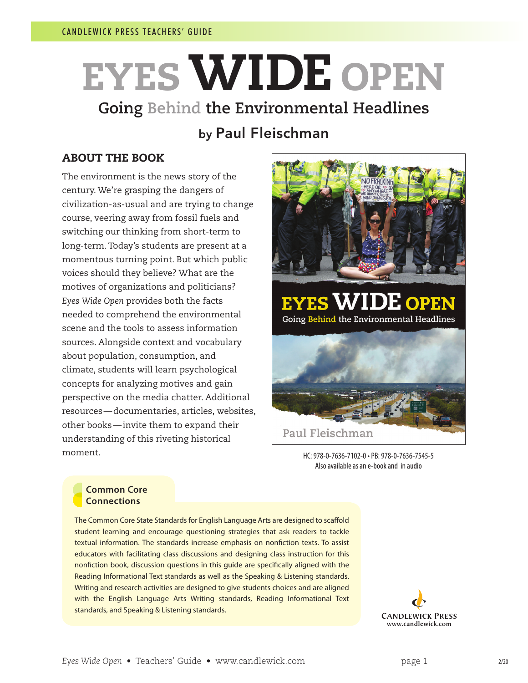# EYESWIDE OPEN **Going Behind the Environmental Headlines**

# by Paul Fleischman

### ABOUT THE BOOK

The environment is the news story of the century. We're grasping the dangers of civilization-as-usual and are trying to change course, veering away from fossil fuels and switching our thinking from short-term to long-term. Today's students are present at a momentous turning point. But which public voices should they believe? What are the motives of organizations and politicians? *Eyes Wide Open* provides both the facts needed to comprehend the environmental scene and the tools to assess information sources. Alongside context and vocabulary about population, consumption, and climate, students will learn psychological concepts for analyzing motives and gain perspective on the media chatter. Additional resources—documentaries, articles, websites, other books—invite them to expand their understanding of this riveting historical moment.



HC: 978-0-7636-7102-0 • PB: 978-0-7636-7545-5 Also available as an e-book and in audio

#### **Common Core Connections**

The Common Core State Standards for English Language Arts are designed to scaffold student learning and encourage questioning strategies that ask readers to tackle textual information. The standards increase emphasis on nonfiction texts. To assist educators with facilitating class discussions and designing class instruction for this nonfiction book, discussion questions in this guide are specifically aligned with the Reading Informational Text standards as well as the Speaking & Listening standards. Writing and research activities are designed to give students choices and are aligned with the English Language Arts Writing standards, Reading Informational Text standards, and Speaking & Listening standards.

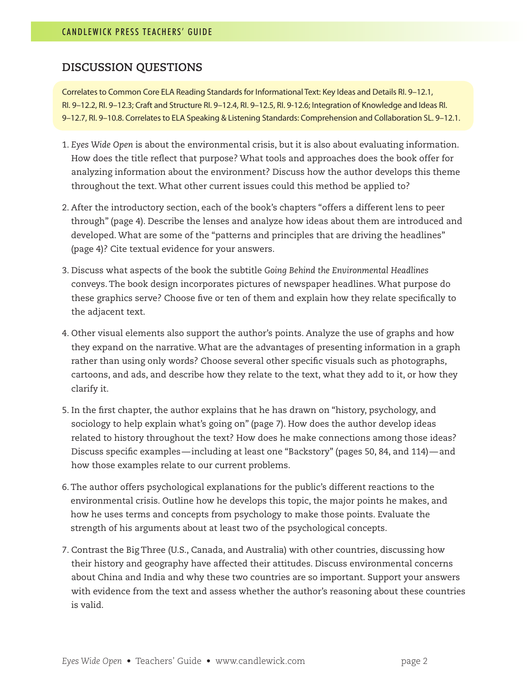#### **DISCUSSION QUESTIONS**

Correlates to Common Core ELA Reading Standards for Informational Text: Key Ideas and Details RI. 9–12.1, RI. 9–12.2, RI. 9–12.3; Craft and Structure RI. 9–12.4, RI. 9–12.5, RI. 9-12.6; Integration of Knowledge and Ideas RI. 9–12.7, RI. 9–10.8. Correlates to ELA Speaking & Listening Standards: Comprehension and Collaboration SL. 9–12.1.

- 1. *Eyes Wide Open* is about the environmental crisis, but it is also about evaluating information. How does the title reflect that purpose? What tools and approaches does the book offer for analyzing information about the environment? Discuss how the author develops this theme throughout the text. What other current issues could this method be applied to?
- 2. After the introductory section, each of the book's chapters "offers a different lens to peer through" (page 4). Describe the lenses and analyze how ideas about them are introduced and developed. What are some of the "patterns and principles that are driving the headlines" (page 4)? Cite textual evidence for your answers.
- 3. Discuss what aspects of the book the subtitle *Going Behind the Environmental Headlines*  conveys. The book design incorporates pictures of newspaper headlines. What purpose do these graphics serve? Choose five or ten of them and explain how they relate specifically to the adjacent text.
- 4. Other visual elements also support the author's points. Analyze the use of graphs and how they expand on the narrative. What are the advantages of presenting information in a graph rather than using only words? Choose several other specific visuals such as photographs, cartoons, and ads, and describe how they relate to the text, what they add to it, or how they clarify it.
- 5. In the first chapter, the author explains that he has drawn on "history, psychology, and sociology to help explain what's going on" (page 7). How does the author develop ideas related to history throughout the text? How does he make connections among those ideas? Discuss specific examples—including at least one "Backstory" (pages 50, 84, and 114)—and how those examples relate to our current problems.
- 6. The author offers psychological explanations for the public's different reactions to the environmental crisis. Outline how he develops this topic, the major points he makes, and how he uses terms and concepts from psychology to make those points. Evaluate the strength of his arguments about at least two of the psychological concepts.
- 7. Contrast the Big Three (U.S., Canada, and Australia) with other countries, discussing how their history and geography have affected their attitudes. Discuss environmental concerns about China and India and why these two countries are so important. Support your answers with evidence from the text and assess whether the author's reasoning about these countries is valid.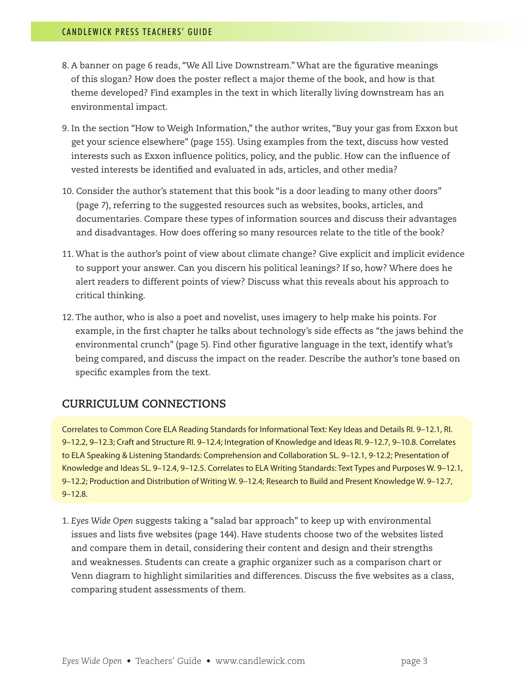- 8. A banner on page 6 reads, "We All Live Downstream." What are the figurative meanings of this slogan? How does the poster reflect a major theme of the book, and how is that theme developed? Find examples in the text in which literally living downstream has an environmental impact.
- 9. In the section "How to Weigh Information," the author writes, "Buy your gas from Exxon but get your science elsewhere" (page 155). Using examples from the text, discuss how vested interests such as Exxon influence politics, policy, and the public. How can the influence of vested interests be identified and evaluated in ads, articles, and other media?
- 10. Consider the author's statement that this book "is a door leading to many other doors" (page 7), referring to the suggested resources such as websites, books, articles, and documentaries. Compare these types of information sources and discuss their advantages and disadvantages. How does offering so many resources relate to the title of the book?
- 11. What is the author's point of view about climate change? Give explicit and implicit evidence to support your answer. Can you discern his political leanings? If so, how? Where does he alert readers to different points of view? Discuss what this reveals about his approach to critical thinking.
- 12. The author, who is also a poet and novelist, uses imagery to help make his points. For example, in the first chapter he talks about technology's side effects as "the jaws behind the environmental crunch" (page 5). Find other figurative language in the text, identify what's being compared, and discuss the impact on the reader. Describe the author's tone based on specific examples from the text.

## **CURRICULUM CONNECTIONS**

Correlates to Common Core ELA Reading Standards for Informational Text: Key Ideas and Details RI. 9–12.1, RI. 9–12.2, 9–12.3; Craft and Structure RI. 9–12.4; Integration of Knowledge and Ideas RI. 9–12.7, 9–10.8. Correlates to ELA Speaking & Listening Standards: Comprehension and Collaboration SL. 9–12.1, 9-12.2; Presentation of Knowledge and Ideas SL. 9–12.4, 9–12.5. Correlates to ELA Writing Standards: Text Types and Purposes W. 9–12.1, 9–12.2; Production and Distribution of Writing W. 9–12.4; Research to Build and Present Knowledge W. 9–12.7, 9–12.8.

1. *Eyes Wide Open* suggests taking a "salad bar approach" to keep up with environmental issues and lists five websites (page 144). Have students choose two of the websites listed and compare them in detail, considering their content and design and their strengths and weaknesses. Students can create a graphic organizer such as a comparison chart or Venn diagram to highlight similarities and differences. Discuss the five websites as a class, comparing student assessments of them.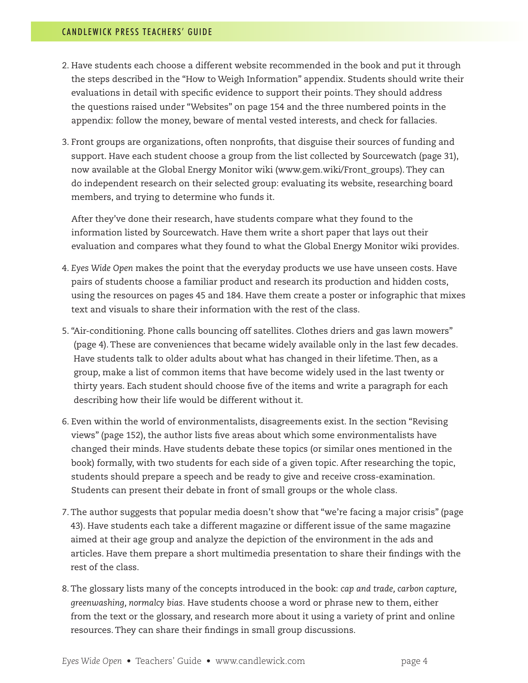- 2. Have students each choose a different website recommended in the book and put it through the steps described in the "How to Weigh Information" appendix. Students should write their evaluations in detail with specific evidence to support their points. They should address the questions raised under "Websites" on page 154 and the three numbered points in the appendix: follow the money, beware of mental vested interests, and check for fallacies.
- 3. Front groups are organizations, often nonprofits, that disguise their sources of funding and support. Have each student choose a group from the list collected by Sourcewatch (page 31), now available at the Global Energy Monitor wiki (www.gem.wiki/Front\_groups). They can do independent research on their selected group: evaluating its website, researching board members, and trying to determine who funds it.

After they've done their research, have students compare what they found to the information listed by Sourcewatch. Have them write a short paper that lays out their evaluation and compares what they found to what the Global Energy Monitor wiki provides.

- 4. *Eyes Wide Open* makes the point that the everyday products we use have unseen costs. Have pairs of students choose a familiar product and research its production and hidden costs, using the resources on pages 45 and 184. Have them create a poster or infographic that mixes text and visuals to share their information with the rest of the class.
- 5. "Air-conditioning. Phone calls bouncing off satellites. Clothes driers and gas lawn mowers" (page 4). These are conveniences that became widely available only in the last few decades. Have students talk to older adults about what has changed in their lifetime. Then, as a group, make a list of common items that have become widely used in the last twenty or thirty years. Each student should choose five of the items and write a paragraph for each describing how their life would be different without it.
- 6. Even within the world of environmentalists, disagreements exist. In the section "Revising views" (page 152), the author lists five areas about which some environmentalists have changed their minds. Have students debate these topics (or similar ones mentioned in the book) formally, with two students for each side of a given topic. After researching the topic, students should prepare a speech and be ready to give and receive cross-examination. Students can present their debate in front of small groups or the whole class.
- 7. The author suggests that popular media doesn't show that "we're facing a major crisis" (page 43). Have students each take a different magazine or different issue of the same magazine aimed at their age group and analyze the depiction of the environment in the ads and articles. Have them prepare a short multimedia presentation to share their findings with the rest of the class.
- 8. The glossary lists many of the concepts introduced in the book: *cap and trade, carbon capture, greenwashing, normalcy bias.* Have students choose a word or phrase new to them, either from the text or the glossary, and research more about it using a variety of print and online resources. They can share their findings in small group discussions.